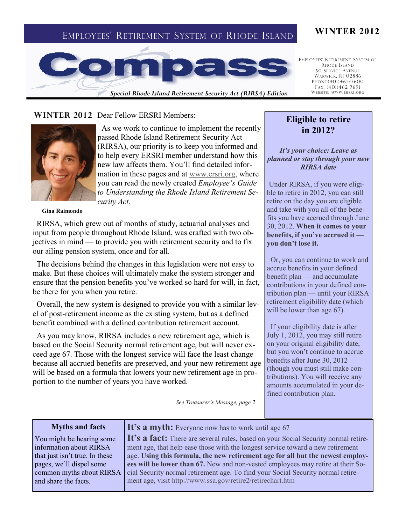# EMPLOYEES' RETIREMENT SYSTEM OF RHODE ISLAND **WINTER 2012**



*Special Rhode Island Retirement Security Act (RIRSA) Edition*

EMPLOYEES' RETIREMENT SYSTEM OF RHODE ISLAND 50 SERVICE AVENUE WARWICK, RI 02886 PHONE:(401)462-7600 FAX: (401)462-7691 **WEB SITE: WWW.ER SRI.ORG**

### WINTER 2012 Dear Fellow ERSRI Members:



 As we work to continue to implement the recently passed Rhode Island Retirement Security Act (RIRSA), our priority is to keep you informed and to help every ERSRI member understand how this new law affects them. You'll find detailed information in these pages and at [www.ersri.org,](http://www.ersri.org) where you can read the newly created *Employee's Guide to Understanding the Rhode Island Retirement Security Act.* 

#### **Gina Raimondo**

 RIRSA, which grew out of months of study, actuarial analyses and input from people throughout Rhode Island, was crafted with two objectives in mind — to provide you with retirement security and to fix our ailing pension system, once and for all.

 The decisions behind the changes in this legislation were not easy to make. But these choices will ultimately make the system stronger and ensure that the pension benefits you've worked so hard for will, in fact, be there for you when you retire.

 Overall, the new system is designed to provide you with a similar level of post-retirement income as the existing system, but as a defined benefit combined with a defined contribution retirement account.

 As you may know, RIRSA includes a new retirement age, which is based on the Social Security normal retirement age, but will never exceed age 67. Those with the longest service will face the least change because all accrued benefits are preserved, and your new retirement age will be based on a formula that lowers your new retirement age in proportion to the number of years you have worked.

*See Treasurer's Message, page 2*

### **Myths and facts**

You might be hearing some information about RIRSA that just isn't true. In these pages, we'll dispel some common myths about RIRSA and share the facts.

### It's a myth: Everyone now has to work until age 67

It's a fact: There are several rules, based on your Social Security normal retirement age, that help ease those with the longest service toward a new retirement age. **Using this formula, the new retirement age for all but the newest employees will be lower than 67.** New and non-vested employees may retire at their Social Security normal retirement age. To find your Social Security normal retirement age, visit<http://www.ssa.gov/retire2/retirechart.htm>

## **Eligible to retire in 2012?**

*It's your choice: Leave as planned or stay through your new RIRSA date*

Under RIRSA, if you were eligible to retire in 2012, you can still retire on the day you are eligible and take with you all of the benefits you have accrued through June 30, 2012. **When it comes to your benefits, if you've accrued it you don't lose it.** 

Or, you can continue to work and accrue benefits in your defined benefit plan — and accumulate contributions in your defined contribution plan — until your RIRSA retirement eligibility date (which will be lower than age 67).

 If your eligibility date is after July 1, 2012, you may still retire on your original eligibility date, but you won't continue to accrue benefits after June 30, 2012 (though you must still make contributions). You will receive any amounts accumulated in your defined contribution plan.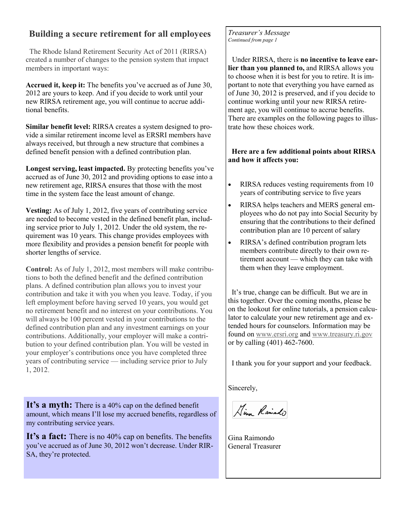# **Building a secure retirement for all employees**

 The Rhode Island Retirement Security Act of 2011 (RIRSA) created a number of changes to the pension system that impact members in important ways:

**Accrued it, keep it:** The benefits you've accrued as of June 30, 2012 are yours to keep. And if you decide to work until your new RIRSA retirement age, you will continue to accrue additional benefits.

**Similar benefit level:** RIRSA creates a system designed to provide a similar retirement income level as ERSRI members have always received, but through a new structure that combines a defined benefit pension with a defined contribution plan.

**Longest serving, least impacted.** By protecting benefits you've accrued as of June 30, 2012 and providing options to ease into a new retirement age, RIRSA ensures that those with the most time in the system face the least amount of change.

**Vesting:** As of July 1, 2012, five years of contributing service are needed to become vested in the defined benefit plan, including service prior to July 1, 2012. Under the old system, the requirement was 10 years. This change provides employees with more flexibility and provides a pension benefit for people with shorter lengths of service.

**Control:** As of July 1, 2012, most members will make contributions to both the defined benefit and the defined contribution plans. A defined contribution plan allows you to invest your contribution and take it with you when you leave. Today, if you left employment before having served 10 years, you would get no retirement benefit and no interest on your contributions. You will always be 100 percent vested in your contributions to the defined contribution plan and any investment earnings on your contributions. Additionally, your employer will make a contribution to your defined contribution plan. You will be vested in your employer's contributions once you have completed three years of contributing service — including service prior to July 1, 2012.

It's a myth: There is a 40% cap on the defined benefit amount, which means I'll lose my accrued benefits, regardless of my contributing service years.

It's a fact: There is no 40% cap on benefits. The benefits you've accrued as of June 30, 2012 won't decrease. Under RIR-SA, they're protected.

*Treasurer's Message Continued from page 1*

 Under RIRSA, there is **no incentive to leave earlier than you planned to,** and RIRSA allows you to choose when it is best for you to retire. It is important to note that everything you have earned as of June 30, 2012 is preserved, and if you decide to continue working until your new RIRSA retirement age, you will continue to accrue benefits. There are examples on the following pages to illustrate how these choices work.

### **Here are a few additional points about RIRSA and how it affects you:**

- RIRSA reduces vesting requirements from 10 years of contributing service to five years
- RIRSA helps teachers and MERS general employees who do not pay into Social Security by ensuring that the contributions to their defined contribution plan are 10 percent of salary
- RIRSA's defined contribution program lets members contribute directly to their own retirement account — which they can take with them when they leave employment.

 It's true, change can be difficult. But we are in this together. Over the coming months, please be on the lookout for online tutorials, a pension calculator to calculate your new retirement age and extended hours for counselors. Information may be found on [www.ersri.org](http://www.ersri.org) and [www.treasury.ri.gov](http://www.treasury.ri.gov) or by calling (401) 462-7600.

I thank you for your support and your feedback.

Sincerely,

Kina Rainado

Gina Raimondo General Treasurer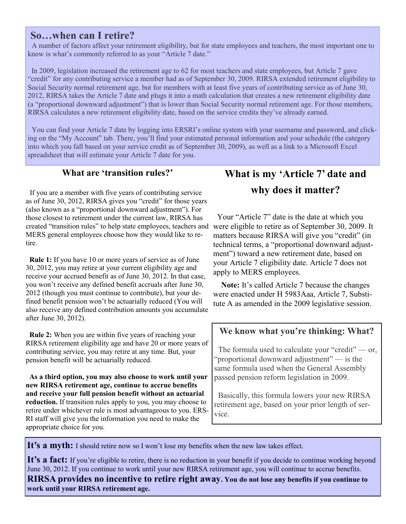# **So…when can I retire?**

 A number of factors affect your retirement eligibility, but for state employees and teachers, the most important one to know is what's commonly referred to as your "Article 7 date."

 In 2009, legislation increased the retirement age to 62 for most teachers and state employees, but Article 7 gave "credit" for any contributing service a member had as of September 30, 2009. RIRSA extended retirement eligibility to Social Security normal retirement age, but for members with at least five years of contributing service as of June 30, 2012, RIRSA takes the Article 7 date and plugs it into a math calculation that creates a new retirement eligibility date (a "proportional downward adjustment") that is lower than Social Security normal retirement age. For those members, RIRSA calculates a new retirement eligibility date, based on the service credits they've already earned.

 You can find your Article 7 date by logging into ERSRI's online system with your username and password, and clicking on the "My Account" tab. There, you'll find your estimated personal information and your schedule (the category into which you fall based on your service credit as of September 30, 2009), as well as a link to a Microsoft Excel spreadsheet that will estimate your Article 7 date for you.

## **What are 'transition rules?'**

 If you are a member with five years of contributing service as of June 30, 2012, RIRSA gives you "credit" for those years (also known as a "proportional downward adjustment"). For those closest to retirement under the current law, RIRSA has created "transition rules" to help state employees, teachers and were eligible to retire as of September 30, 2009. It MERS general employees choose how they would like to retire.

 **Rule 1:** If you have 10 or more years of service as of June 30, 2012, you may retire at your current eligibility age and receive your accrued benefit as of June 30, 2012. In that case, you won't receive any defined benefit accruals after June 30, 2012 (though you must continue to contribute), but your defined benefit pension won't be actuarially reduced (You will also receive any defined contribution amounts you accumulate after June 30, 2012).

 **Rule 2:** When you are within five years of reaching your RIRSA retirement eligibility age and have 20 or more years of contributing service, you may retire at any time. But, your pension benefit will be actuarially reduced.

 **As a third option, you may also choose to work until your new RIRSA retirement age, continue to accrue benefits and receive your full pension benefit without an actuarial reduction.** If transition rules apply to you, you may choose to retire under whichever rule is most advantageous to you. ERS-RI staff will give you the information you need to make the appropriate choice for you.

# **What is my 'Article 7' date and why does it matter?**

 Your "Article 7" date is the date at which you matters because RIRSA will give you "credit" (in technical terms, a "proportional downward adjustment") toward a new retirement date, based on your Article 7 eligibility date. Article 7 does not apply to MERS employees.

 **Note:** It's called Article 7 because the changes were enacted under H 5983Aaa, Article 7, Substitute A as amended in the 2009 legislative session.

# **We know what you're thinking: What?**

The formula used to calculate your "credit"  $-$  or, "proportional downward adjustment" — is the same formula used when the General Assembly passed pension reform legislation in 2009.

 Basically, this formula lowers your new RIRSA retirement age, based on your prior length of service.

It's a myth: I should retire now so I won't lose my benefits when the new law takes effect.

It's a fact: If you're eligible to retire, there is no reduction in your benefit if you decide to continue working beyond June 30, 2012. If you continue to work until your new RIRSA retirement age, you will continue to accrue benefits.

**RIRSA provides no incentive to retire right away. You do not lose any benefits if you continue to work until your RIRSA retirement age.**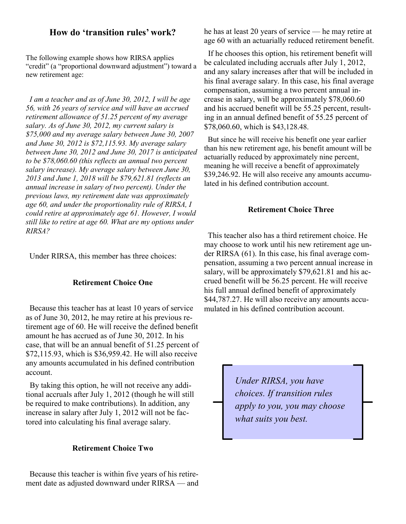### **How do 'transition rules' work?**

The following example shows how RIRSA applies "credit" (a "proportional downward adjustment") toward a new retirement age:

 *I am a teacher and as of June 30, 2012, I will be age 56, with 26 years of service and will have an accrued retirement allowance of 51.25 percent of my average salary. As of June 30, 2012, my current salary is \$75,000 and my average salary between June 30, 2007 and June 30, 2012 is \$72,115.93. My average salary between June 30, 2012 and June 30, 2017 is anticipated to be \$78,060.60 (this reflects an annual two percent salary increase). My average salary between June 30, 2013 and June 1, 2018 will be \$79,621.81 (reflects an annual increase in salary of two percent). Under the previous laws, my retirement date was approximately age 60, and under the proportionality rule of RIRSA, I could retire at approximately age 61. However, I would still like to retire at age 60. What are my options under RIRSA?* 

Under RIRSA, this member has three choices:

### **Retirement Choice One**

 Because this teacher has at least 10 years of service as of June 30, 2012, he may retire at his previous retirement age of 60. He will receive the defined benefit amount he has accrued as of June 30, 2012. In his case, that will be an annual benefit of 51.25 percent of \$72,115.93, which is \$36,959.42. He will also receive any amounts accumulated in his defined contribution account.

 By taking this option, he will not receive any additional accruals after July 1, 2012 (though he will still be required to make contributions). In addition, any increase in salary after July 1, 2012 will not be factored into calculating his final average salary.

### **Retirement Choice Two**

 Because this teacher is within five years of his retirement date as adjusted downward under RIRSA — and he has at least 20 years of service — he may retire at age 60 with an actuarially reduced retirement benefit.

 If he chooses this option, his retirement benefit will be calculated including accruals after July 1, 2012, and any salary increases after that will be included in his final average salary. In this case, his final average compensation, assuming a two percent annual increase in salary, will be approximately \$78,060.60 and his accrued benefit will be 55.25 percent, resulting in an annual defined benefit of 55.25 percent of \$78,060.60, which is \$43,128.48.

 But since he will receive his benefit one year earlier than his new retirement age, his benefit amount will be actuarially reduced by approximately nine percent, meaning he will receive a benefit of approximately \$39,246.92. He will also receive any amounts accumulated in his defined contribution account.

#### **Retirement Choice Three**

 This teacher also has a third retirement choice. He may choose to work until his new retirement age under RIRSA (61). In this case, his final average compensation, assuming a two percent annual increase in salary, will be approximately \$79,621.81 and his accrued benefit will be 56.25 percent. He will receive his full annual defined benefit of approximately \$44,787.27. He will also receive any amounts accumulated in his defined contribution account.

> *Under RIRSA, you have choices. If transition rules apply to you, you may choose what suits you best.*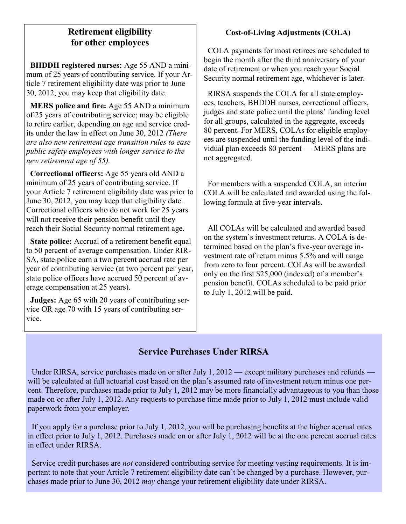# **Retirement eligibility for other employees**

 **BHDDH registered nurses:** Age 55 AND a minimum of 25 years of contributing service. If your Article 7 retirement eligibility date was prior to June 30, 2012, you may keep that eligibility date.

 **MERS police and fire:** Age 55 AND a minimum of 25 years of contributing service; may be eligible to retire earlier, depending on age and service credits under the law in effect on June 30, 2012 *(There are also new retirement age transition rules to ease public safety employees with longer service to the new retirement age of 55).*

 **Correctional officers:** Age 55 years old AND a minimum of 25 years of contributing service. If your Article 7 retirement eligibility date was prior to June 30, 2012, you may keep that eligibility date. Correctional officers who do not work for 25 years will not receive their pension benefit until they reach their Social Security normal retirement age.

 **State police:** Accrual of a retirement benefit equal to 50 percent of average compensation. Under RIR-SA, state police earn a two percent accrual rate per year of contributing service (at two percent per year, state police officers have accrued 50 percent of average compensation at 25 years).

 **Judges:** Age 65 with 20 years of contributing service OR age 70 with 15 years of contributing service.

# **Cost-of-Living Adjustments (COLA)**

 COLA payments for most retirees are scheduled to begin the month after the third anniversary of your date of retirement or when you reach your Social Security normal retirement age, whichever is later.

 RIRSA suspends the COLA for all state employees, teachers, BHDDH nurses, correctional officers, judges and state police until the plans' funding level for all groups, calculated in the aggregate, exceeds 80 percent. For MERS, COLAs for eligible employees are suspended until the funding level of the individual plan exceeds 80 percent — MERS plans are not aggregated.

 For members with a suspended COLA, an interim COLA will be calculated and awarded using the following formula at five-year intervals.

 All COLAs will be calculated and awarded based on the system's investment returns. A COLA is determined based on the plan's five-year average investment rate of return minus 5.5% and will range from zero to four percent. COLAs will be awarded only on the first \$25,000 (indexed) of a member's pension benefit. COLAs scheduled to be paid prior to July 1, 2012 will be paid.

# **Service Purchases Under RIRSA**

 Under RIRSA, service purchases made on or after July 1, 2012 — except military purchases and refunds will be calculated at full actuarial cost based on the plan's assumed rate of investment return minus one percent. Therefore, purchases made prior to July 1, 2012 may be more financially advantageous to you than those made on or after July 1, 2012. Any requests to purchase time made prior to July 1, 2012 must include valid paperwork from your employer.

 If you apply for a purchase prior to July 1, 2012, you will be purchasing benefits at the higher accrual rates in effect prior to July 1, 2012. Purchases made on or after July 1, 2012 will be at the one percent accrual rates in effect under RIRSA.

 Service credit purchases are *not* considered contributing service for meeting vesting requirements. It is important to note that your Article 7 retirement eligibility date can't be changed by a purchase. However, purchases made prior to June 30, 2012 *may* change your retirement eligibility date under RIRSA.